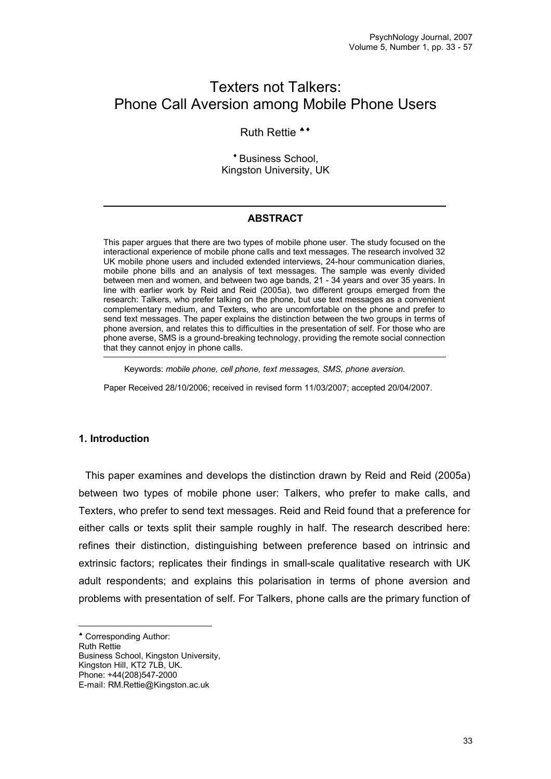# Texters not Talkers: Phone Call Aversion among Mobile Phone Users

# Ruth Rettie<sup>\*\*</sup>

\* Business School. Kingston University, UK

## **ABSTRACT**

This paper argues that there are two types of mobile phone user. The study focused on the interactional experience of mobile phone calls and text messages. The research involved 32 UK mobile phone users and included extended interviews, 24-hour communication diaries, mobile phone bills and an analysis of text messages. The sample was evenly divided between men and women, and between two age bands, 21 - 34 years and over 35 years. In line with earlier work by Reid and Reid (2005a), two different groups emerged from the research: Talkers, who prefer talking on the phone, but use text messages as a convenient complementary medium, and Texters, who are uncomfortable on the phone and prefer to send text messages. The paper explains the distinction between the two groups in terms of phone aversion, and relates this to difficulties in the presentation of self. For those who are phone averse, SMS is a ground-breaking technology, providing the remote social connection that they cannot enjoy in phone calls.

Keywords: *mobile phone, cell phone, text messages, SMS, phone aversion.*

Paper Received 28/10/2006; received in revised form 11/03/2007; accepted 20/04/2007.

## **1. Introduction**

This paper examines and develops the distinction drawn by Reid and Reid (2005a) between two types of mobile phone user: Talkers, who prefer to make calls, and Texters, who prefer to send text messages. Reid and Reid found that a preference for either calls or texts split their sample roughly in half. The research described here: refines their distinction, distinguishing between preference based on intrinsic and extrinsic factors; replicates their findings in small-scale qualitative research with UK adult respondents; and explains this polarisation in terms of phone aversion and problems with presentation of self. For Talkers, phone calls are the primary function of

Corresponding Author:

Ruth Rettie

Business School, Kingston University, Kingston Hill, KT2 7LB, UK.

Phone: +44(208)547-2000

E-mail: RM.Rettie@Kingston.ac.uk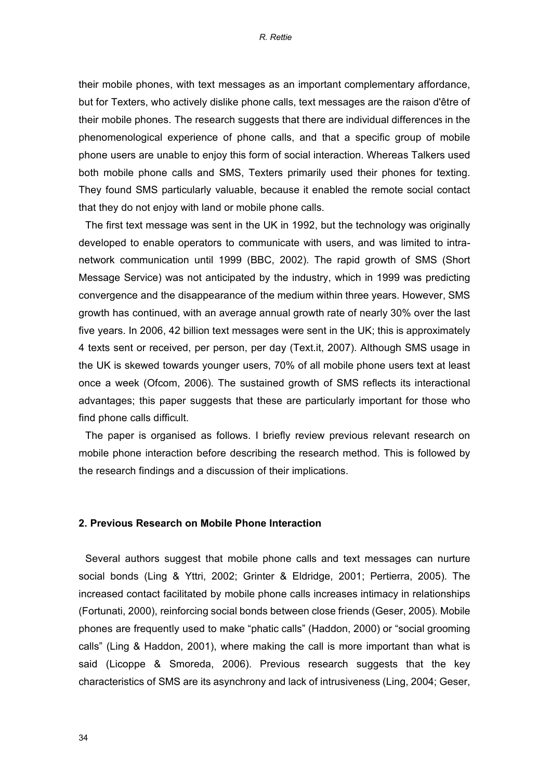their mobile phones, with text messages as an important complementary affordance, but for Texters, who actively dislike phone calls, text messages are the raison d'être of their mobile phones. The research suggests that there are individual differences in the phenomenological experience of phone calls, and that a specific group of mobile phone users are unable to enjoy this form of social interaction. Whereas Talkers used both mobile phone calls and SMS, Texters primarily used their phones for texting. They found SMS particularly valuable, because it enabled the remote social contact that they do not enjoy with land or mobile phone calls.

The first text message was sent in the UK in 1992, but the technology was originally developed to enable operators to communicate with users, and was limited to intranetwork communication until 1999 (BBC, 2002). The rapid growth of SMS (Short Message Service) was not anticipated by the industry, which in 1999 was predicting convergence and the disappearance of the medium within three years. However, SMS growth has continued, with an average annual growth rate of nearly 30% over the last five years. In 2006, 42 billion text messages were sent in the UK; this is approximately 4 texts sent or received, per person, per day (Text.it, 2007). Although SMS usage in the UK is skewed towards younger users, 70% of all mobile phone users text at least once a week (Ofcom, 2006). The sustained growth of SMS reflects its interactional advantages; this paper suggests that these are particularly important for those who find phone calls difficult.

The paper is organised as follows. I briefly review previous relevant research on mobile phone interaction before describing the research method. This is followed by the research findings and a discussion of their implications.

## **2. Previous Research on Mobile Phone Interaction**

Several authors suggest that mobile phone calls and text messages can nurture social bonds (Ling & Yttri, 2002; Grinter & Eldridge, 2001; Pertierra, 2005). The increased contact facilitated by mobile phone calls increases intimacy in relationships (Fortunati, 2000), reinforcing social bonds between close friends (Geser, 2005). Mobile phones are frequently used to make "phatic calls" (Haddon, 2000) or "social grooming calls" (Ling & Haddon, 2001), where making the call is more important than what is said (Licoppe & Smoreda, 2006). Previous research suggests that the key characteristics of SMS are its asynchrony and lack of intrusiveness (Ling, 2004; Geser,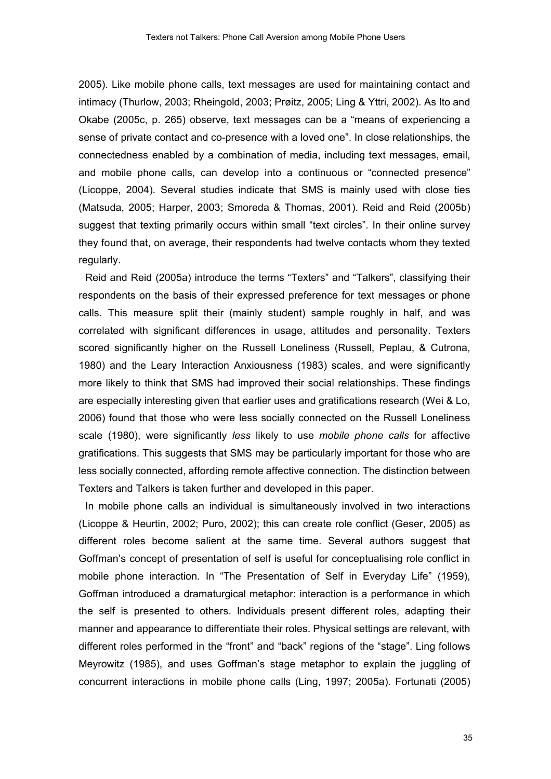2005). Like mobile phone calls, text messages are used for maintaining contact and intimacy (Thurlow, 2003; Rheingold, 2003; Prøitz, 2005; Ling & Yttri, 2002). As Ito and Okabe (2005c, p. 265) observe, text messages can be a "means of experiencing a sense of private contact and co-presence with a loved one". In close relationships, the connectedness enabled by a combination of media, including text messages, email, and mobile phone calls, can develop into a continuous or "connected presence" (Licoppe, 2004). Several studies indicate that SMS is mainly used with close ties (Matsuda, 2005; Harper, 2003; Smoreda & Thomas, 2001). Reid and Reid (2005b) suggest that texting primarily occurs within small "text circles". In their online survey they found that, on average, their respondents had twelve contacts whom they texted regularly.

Reid and Reid (2005a) introduce the terms "Texters" and "Talkers", classifying their respondents on the basis of their expressed preference for text messages or phone calls. This measure split their (mainly student) sample roughly in half, and was correlated with significant differences in usage, attitudes and personality. Texters scored significantly higher on the Russell Loneliness (Russell, Peplau, & Cutrona, 1980) and the Leary Interaction Anxiousness (1983) scales, and were significantly more likely to think that SMS had improved their social relationships. These findings are especially interesting given that earlier uses and gratifications research (Wei & Lo, 2006) found that those who were less socially connected on the Russell Loneliness scale (1980), were significantly *less* likely to use *mobile phone calls* for affective gratifications. This suggests that SMS may be particularly important for those who are less socially connected, affording remote affective connection. The distinction between Texters and Talkers is taken further and developed in this paper.

In mobile phone calls an individual is simultaneously involved in two interactions (Licoppe & Heurtin, 2002; Puro, 2002); this can create role conflict (Geser, 2005) as different roles become salient at the same time. Several authors suggest that Goffman's concept of presentation of self is useful for conceptualising role conflict in mobile phone interaction. In "The Presentation of Self in Everyday Life" (1959), Goffman introduced a dramaturgical metaphor: interaction is a performance in which the self is presented to others. Individuals present different roles, adapting their manner and appearance to differentiate their roles. Physical settings are relevant, with different roles performed in the "front" and "back" regions of the "stage". Ling follows Meyrowitz (1985), and uses Goffman's stage metaphor to explain the juggling of concurrent interactions in mobile phone calls (Ling, 1997; 2005a). Fortunati (2005)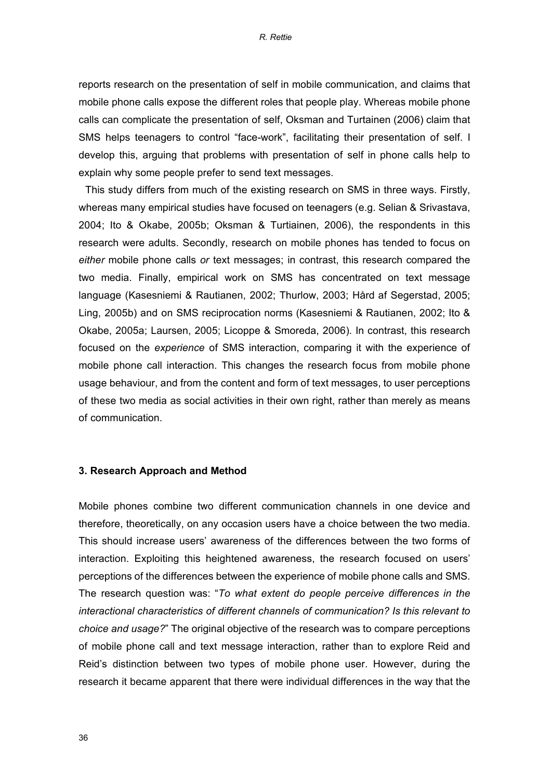reports research on the presentation of self in mobile communication, and claims that mobile phone calls expose the different roles that people play. Whereas mobile phone calls can complicate the presentation of self, Oksman and Turtainen (2006) claim that SMS helps teenagers to control "face-work", facilitating their presentation of self. I develop this, arguing that problems with presentation of self in phone calls help to explain why some people prefer to send text messages.

This study differs from much of the existing research on SMS in three ways. Firstly, whereas many empirical studies have focused on teenagers (e.g. Selian & Srivastava, 2004; Ito & Okabe, 2005b; Oksman & Turtiainen, 2006), the respondents in this research were adults. Secondly, research on mobile phones has tended to focus on *either* mobile phone calls *or* text messages; in contrast, this research compared the two media. Finally, empirical work on SMS has concentrated on text message language (Kasesniemi & Rautianen, 2002; Thurlow, 2003; Hård af Segerstad, 2005; Ling, 2005b) and on SMS reciprocation norms (Kasesniemi & Rautianen, 2002; Ito & Okabe, 2005a; Laursen, 2005; Licoppe & Smoreda, 2006). In contrast, this research focused on the *experience* of SMS interaction, comparing it with the experience of mobile phone call interaction. This changes the research focus from mobile phone usage behaviour, and from the content and form of text messages, to user perceptions of these two media as social activities in their own right, rather than merely as means of communication.

## **3. Research Approach and Method**

Mobile phones combine two different communication channels in one device and therefore, theoretically, on any occasion users have a choice between the two media. This should increase users' awareness of the differences between the two forms of interaction. Exploiting this heightened awareness, the research focused on users' perceptions of the differences between the experience of mobile phone calls and SMS. The research question was: "*To what extent do people perceive differences in the interactional characteristics of different channels of communication? Is this relevant to choice and usage?*" The original objective of the research was to compare perceptions of mobile phone call and text message interaction, rather than to explore Reid and Reid's distinction between two types of mobile phone user. However, during the research it became apparent that there were individual differences in the way that the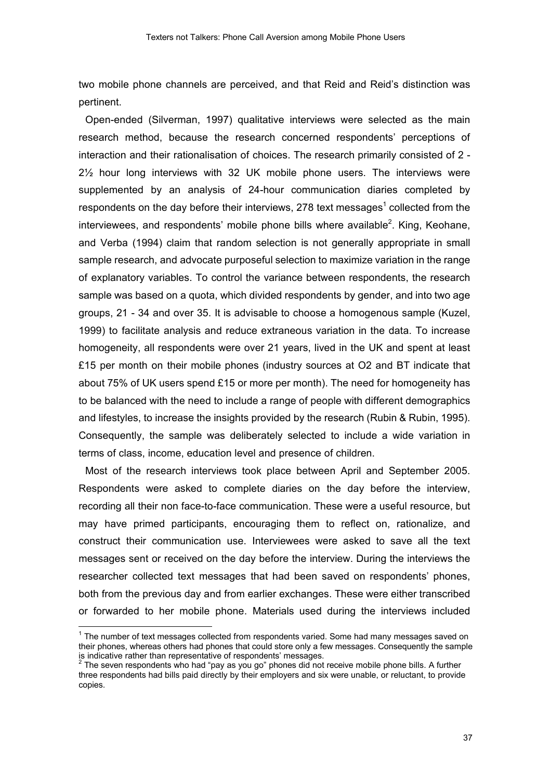two mobile phone channels are perceived, and that Reid and Reid's distinction was pertinent.

Open-ended (Silverman, 1997) qualitative interviews were selected as the main research method, because the research concerned respondents' perceptions of interaction and their rationalisation of choices. The research primarily consisted of 2 -  $2\frac{1}{2}$  hour long interviews with 32 UK mobile phone users. The interviews were supplemented by an analysis of 24-hour communication diaries completed by respondents on the day before their interviews, 278 text messages<sup>1</sup> collected from the interviewees, and respondents' mobile phone bills where available<sup>2</sup>. King, Keohane, and Verba (1994) claim that random selection is not generally appropriate in small sample research, and advocate purposeful selection to maximize variation in the range of explanatory variables. To control the variance between respondents, the research sample was based on a quota, which divided respondents by gender, and into two age groups, 21 - 34 and over 35. It is advisable to choose a homogenous sample (Kuzel, 1999) to facilitate analysis and reduce extraneous variation in the data. To increase homogeneity, all respondents were over 21 years, lived in the UK and spent at least £15 per month on their mobile phones (industry sources at  $O2$  and BT indicate that about 75% of UK users spend £15 or more per month). The need for homogeneity has to be balanced with the need to include a range of people with different demographics and lifestyles, to increase the insights provided by the research (Rubin & Rubin, 1995). Consequently, the sample was deliberately selected to include a wide variation in terms of class, income, education level and presence of children.

Most of the research interviews took place between April and September 2005. Respondents were asked to complete diaries on the day before the interview, recording all their non face-to-face communication. These were a useful resource, but may have primed participants, encouraging them to reflect on, rationalize, and construct their communication use. Interviewees were asked to save all the text messages sent or received on the day before the interview. During the interviews the researcher collected text messages that had been saved on respondents' phones, both from the previous day and from earlier exchanges. These were either transcribed or forwarded to her mobile phone. Materials used during the interviews included

<sup>&</sup>lt;sup>1</sup> The number of text messages collected from respondents varied. Some had many messages saved on their phones, whereas others had phones that could store only a few messages. Consequently the sample is indicative rather than representative of respondents' messages.<br><sup>2</sup> The soven respondents who had "pay as you go" phones did not

The seven respondents who had "pay as you go" phones did not receive mobile phone bills. A further three respondents had bills paid directly by their employers and six were unable, or reluctant, to provide copies.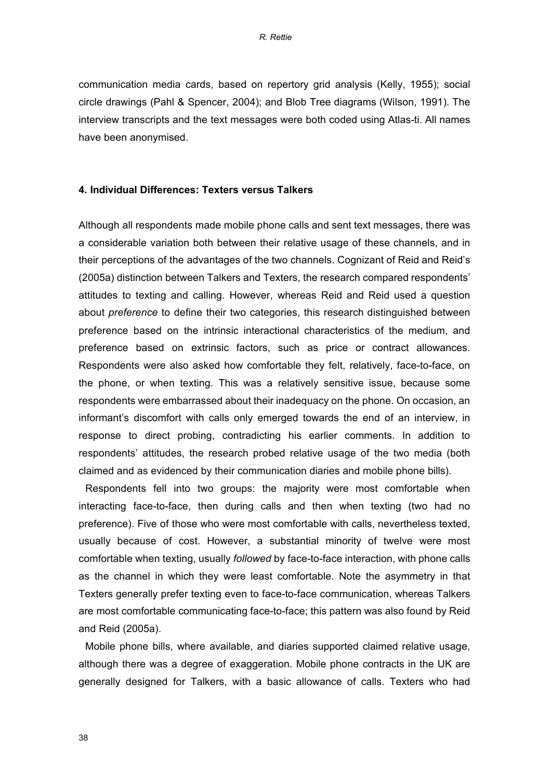communication media cards, based on repertory grid analysis (Kelly, 1955); social circle drawings (Pahl & Spencer, 2004); and Blob Tree diagrams (Wilson, 1991). The interview transcripts and the text messages were both coded using Atlas-ti. All names have been anonymised.

## **4. Individual Differences: Texters versus Talkers**

Although all respondents made mobile phone calls and sent text messages, there was a considerable variation both between their relative usage of these channels, and in their perceptions of the advantages of the two channels. Cognizant of Reid and Reid's (2005a) distinction between Talkers and Texters, the research compared respondents' attitudes to texting and calling. However, whereas Reid and Reid used a question about *preference* to define their two categories, this research distinguished between preference based on the intrinsic interactional characteristics of the medium, and preference based on extrinsic factors, such as price or contract allowances. Respondents were also asked how comfortable they felt, relatively, face-to-face, on the phone, or when texting. This was a relatively sensitive issue, because some respondents were embarrassed about their inadequacy on the phone. On occasion, an informant's discomfort with calls only emerged towards the end of an interview, in response to direct probing, contradicting his earlier comments. In addition to respondents' attitudes, the research probed relative usage of the two media (both claimed and as evidenced by their communication diaries and mobile phone bills).

Respondents fell into two groups: the majority were most comfortable when interacting face-to-face, then during calls and then when texting (two had no preference). Five of those who were most comfortable with calls, nevertheless texted, usually because of cost. However, a substantial minority of twelve were most comfortable when texting, usually *followed* by face-to-face interaction, with phone calls as the channel in which they were least comfortable. Note the asymmetry in that Texters generally prefer texting even to face-to-face communication, whereas Talkers are most comfortable communicating face-to-face; this pattern was also found by Reid and Reid (2005a).

Mobile phone bills, where available, and diaries supported claimed relative usage, although there was a degree of exaggeration. Mobile phone contracts in the UK are generally designed for Talkers, with a basic allowance of calls. Texters who had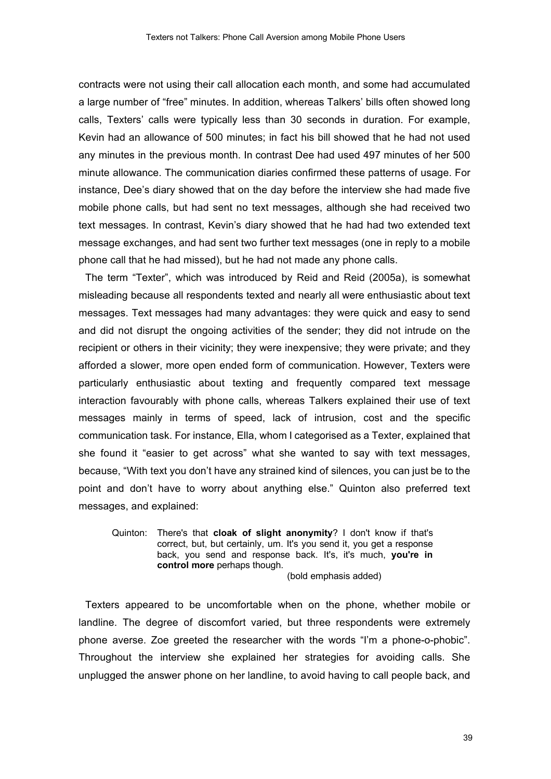contracts were not using their call allocation each month, and some had accumulated a large number of "free" minutes. In addition, whereas Talkers' bills often showed long calls, Texters' calls were typically less than 30 seconds in duration. For example, Kevin had an allowance of 500 minutes; in fact his bill showed that he had not used any minutes in the previous month. In contrast Dee had used 497 minutes of her 500 minute allowance. The communication diaries confirmed these patterns of usage. For instance, Dee's diary showed that on the day before the interview she had made five mobile phone calls, but had sent no text messages, although she had received two text messages. In contrast, Kevin's diary showed that he had had two extended text message exchanges, and had sent two further text messages (one in reply to a mobile phone call that he had missed), but he had not made any phone calls.

The term "Texter", which was introduced by Reid and Reid (2005a), is somewhat misleading because all respondents texted and nearly all were enthusiastic about text messages. Text messages had many advantages: they were quick and easy to send and did not disrupt the ongoing activities of the sender; they did not intrude on the recipient or others in their vicinity; they were inexpensive; they were private; and they afforded a slower, more open ended form of communication. However, Texters were particularly enthusiastic about texting and frequently compared text message interaction favourably with phone calls, whereas Talkers explained their use of text messages mainly in terms of speed, lack of intrusion, cost and the specific communication task. For instance, Ella, whom I categorised as a Texter, explained that she found it "easier to get across" what she wanted to say with text messages, because, "With text you don't have any strained kind of silences, you can just be to the point and don't have to worry about anything else." Quinton also preferred text messages, and explained:

Quinton: There's that **cloak of slight anonymity**? I don't know if that's correct, but, but certainly, um. It's you send it, you get a response back, you send and response back. It's, it's much, **you're in control more** perhaps though. (bold emphasis added)

Texters appeared to be uncomfortable when on the phone, whether mobile or landline. The degree of discomfort varied, but three respondents were extremely phone averse. Zoe greeted the researcher with the words "I'm a phone-o-phobic". Throughout the interview she explained her strategies for avoiding calls. She unplugged the answer phone on her landline, to avoid having to call people back, and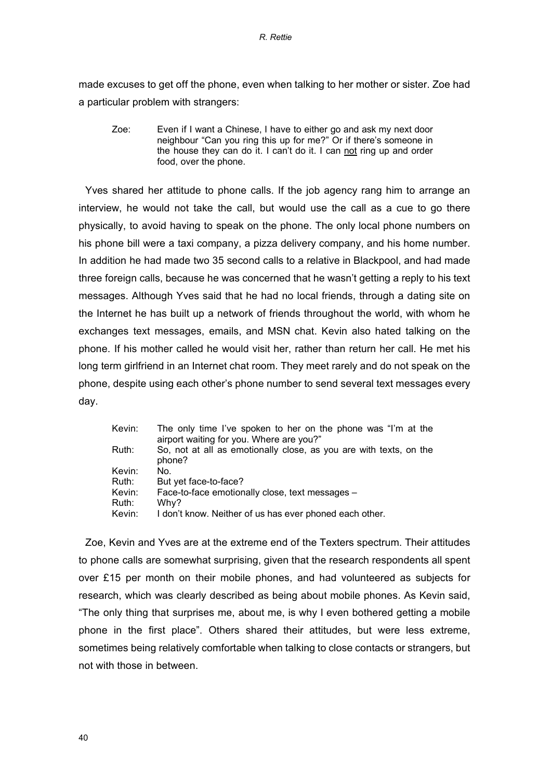made excuses to get off the phone, even when talking to her mother or sister. Zoe had a particular problem with strangers:

Zoe: Even if I want a Chinese, I have to either go and ask my next door neighbour "Can you ring this up for me?" Or if there's someone in the house they can do it. I can't do it. I can not ring up and order food, over the phone.

Yves shared her attitude to phone calls. If the job agency rang him to arrange an interview, he would not take the call, but would use the call as a cue to go there physically, to avoid having to speak on the phone. The only local phone numbers on his phone bill were a taxi company, a pizza delivery company, and his home number. In addition he had made two 35 second calls to a relative in Blackpool, and had made three foreign calls, because he was concerned that he wasn't getting a reply to his text messages. Although Yves said that he had no local friends, through a dating site on the Internet he has built up a network of friends throughout the world, with whom he exchanges text messages, emails, and MSN chat. Kevin also hated talking on the phone. If his mother called he would visit her, rather than return her call. He met his long term girlfriend in an Internet chat room. They meet rarely and do not speak on the phone, despite using each other's phone number to send several text messages every day.

| Kevin: | The only time I've spoken to her on the phone was "I'm at the<br>airport waiting for you. Where are you?" |
|--------|-----------------------------------------------------------------------------------------------------------|
| Ruth:  | So, not at all as emotionally close, as you are with texts, on the<br>phone?                              |
| Kevin: | No.                                                                                                       |
| Ruth:  | But yet face-to-face?                                                                                     |
| Kevin: | Face-to-face emotionally close, text messages -                                                           |
| Ruth:  | Why?                                                                                                      |
| Kevin: | I don't know. Neither of us has ever phoned each other.                                                   |
|        |                                                                                                           |

Zoe, Kevin and Yves are at the extreme end of the Texters spectrum. Their attitudes to phone calls are somewhat surprising, given that the research respondents all spent over £15 per month on their mobile phones, and had volunteered as subjects for research, which was clearly described as being about mobile phones. As Kevin said, "The only thing that surprises me, about me, is why I even bothered getting a mobile phone in the first place". Others shared their attitudes, but were less extreme, sometimes being relatively comfortable when talking to close contacts or strangers, but not with those in between.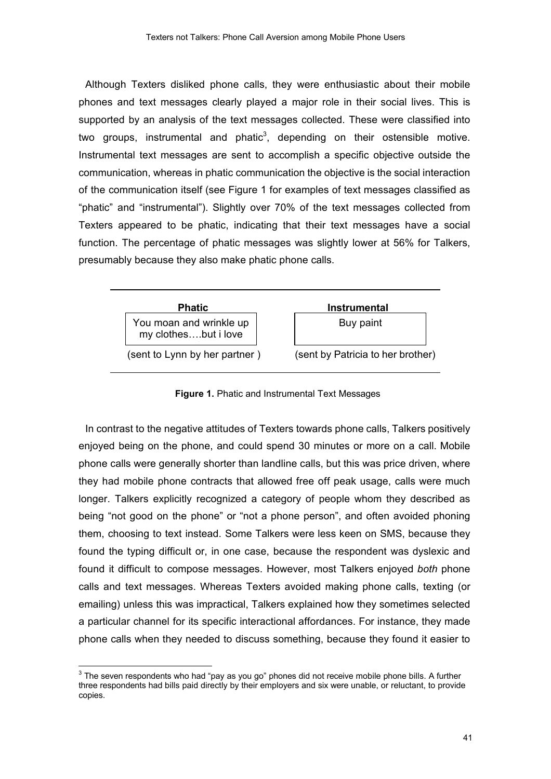Although Texters disliked phone calls, they were enthusiastic about their mobile phones and text messages clearly played a major role in their social lives. This is supported by an analysis of the text messages collected. These were classified into two groups, instrumental and phatic<sup>3</sup>, depending on their ostensible motive. Instrumental text messages are sent to accomplish a specific objective outside the communication, whereas in phatic communication the objective is the social interaction of the communication itself (see Figure 1 for examples of text messages classified as "phatic" and "instrumental"). Slightly over 70% of the text messages collected from Texters appeared to be phatic, indicating that their text messages have a social function. The percentage of phatic messages was slightly lower at 56% for Talkers, presumably because they also make phatic phone calls.



**Figure 1.** Phatic and Instrumental Text Messages

In contrast to the negative attitudes of Texters towards phone calls, Talkers positively enjoyed being on the phone, and could spend 30 minutes or more on a call. Mobile phone calls were generally shorter than landline calls, but this was price driven, where they had mobile phone contracts that allowed free off peak usage, calls were much longer. Talkers explicitly recognized a category of people whom they described as being "not good on the phone" or "not a phone person", and often avoided phoning them, choosing to text instead. Some Talkers were less keen on SMS, because they found the typing difficult or, in one case, because the respondent was dyslexic and found it difficult to compose messages. However, most Talkers enjoyed *both* phone calls and text messages. Whereas Texters avoided making phone calls, texting (or emailing) unless this was impractical, Talkers explained how they sometimes selected a particular channel for its specific interactional affordances. For instance, they made phone calls when they needed to discuss something, because they found it easier to

 $3$  The seven respondents who had "pay as you go" phones did not receive mobile phone bills. A further three respondents had bills paid directly by their employers and six were unable, or reluctant, to provide copies.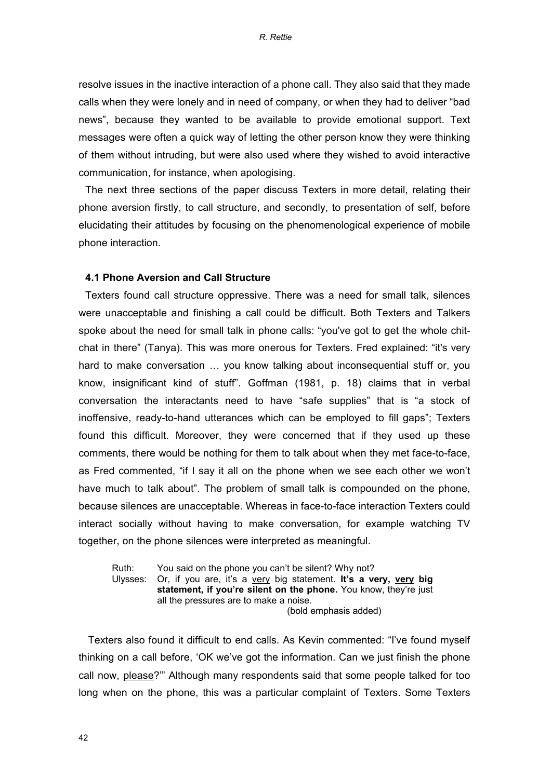resolve issues in the inactive interaction of a phone call. They also said that they made calls when they were lonely and in need of company, or when they had to deliver "bad news", because they wanted to be available to provide emotional support. Text messages were often a quick way of letting the other person know they were thinking of them without intruding, but were also used where they wished to avoid interactive communication, for instance, when apologising.

The next three sections of the paper discuss Texters in more detail, relating their phone aversion firstly, to call structure, and secondly, to presentation of self, before elucidating their attitudes by focusing on the phenomenological experience of mobile phone interaction.

### **4.1 Phone Aversion and Call Structure**

Texters found call structure oppressive. There was a need for small talk, silences were unacceptable and finishing a call could be difficult. Both Texters and Talkers spoke about the need for small talk in phone calls: "you've got to get the whole chitchat in there" (Tanya). This was more onerous for Texters. Fred explained: "it's very hard to make conversation … you know talking about inconsequential stuff or, you know, insignificant kind of stuff". Goffman (1981, p. 18) claims that in verbal conversation the interactants need to have "safe supplies" that is "a stock of inoffensive, ready-to-hand utterances which can be employed to fill gaps"; Texters found this difficult. Moreover, they were concerned that if they used up these comments, there would be nothing for them to talk about when they met face-to-face, as Fred commented, "if I say it all on the phone when we see each other we won't have much to talk about". The problem of small talk is compounded on the phone, because silences are unacceptable. Whereas in face-to-face interaction Texters could interact socially without having to make conversation, for example watching TV together, on the phone silences were interpreted as meaningful.

Ruth: You said on the phone you can't be silent? Why not? Ulysses: Or, if you are, it's a very big statement. **It's a very, very big statement, if you're silent on the phone.** You know, they're just all the pressures are to make a noise. (bold emphasis added)

Texters also found it difficult to end calls. As Kevin commented: "I've found myself thinking on a call before, 'OK we've got the information. Can we just finish the phone call now, please?'" Although many respondents said that some people talked for too long when on the phone, this was a particular complaint of Texters. Some Texters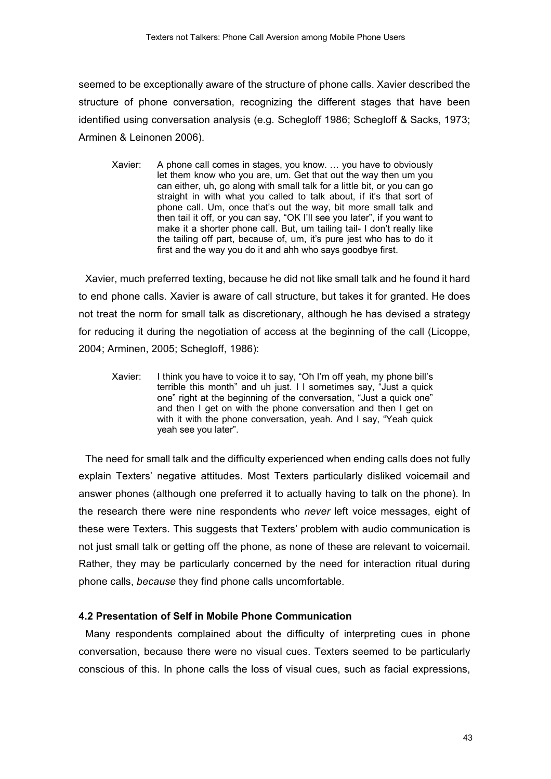seemed to be exceptionally aware of the structure of phone calls. Xavier described the structure of phone conversation, recognizing the different stages that have been identified using conversation analysis (e.g. Schegloff 1986; Schegloff & Sacks, 1973; Arminen & Leinonen 2006).

Xavier: A phone call comes in stages, you know. … you have to obviously let them know who you are, um. Get that out the way then um you can either, uh, go along with small talk for a little bit, or you can go straight in with what you called to talk about, if it's that sort of phone call. Um, once that's out the way, bit more small talk and then tail it off, or you can say, "OK I'll see you later", if you want to make it a shorter phone call. But, um tailing tail- I don't really like the tailing off part, because of, um, it's pure jest who has to do it first and the way you do it and ahh who says goodbye first.

Xavier, much preferred texting, because he did not like small talk and he found it hard to end phone calls. Xavier is aware of call structure, but takes it for granted. He does not treat the norm for small talk as discretionary, although he has devised a strategy for reducing it during the negotiation of access at the beginning of the call (Licoppe, 2004; Arminen, 2005; Schegloff, 1986):

Xavier: I think you have to voice it to say, "Oh I'm off yeah, my phone bill's terrible this month" and uh just. I I sometimes say, "Just a quick one" right at the beginning of the conversation, "Just a quick one" and then I get on with the phone conversation and then I get on with it with the phone conversation, yeah. And I say, "Yeah quick yeah see you later".

The need for small talk and the difficulty experienced when ending calls does not fully explain Texters' negative attitudes. Most Texters particularly disliked voicemail and answer phones (although one preferred it to actually having to talk on the phone). In the research there were nine respondents who *never* left voice messages, eight of these were Texters. This suggests that Texters' problem with audio communication is not just small talk or getting off the phone, as none of these are relevant to voicemail. Rather, they may be particularly concerned by the need for interaction ritual during phone calls, *because* they find phone calls uncomfortable.

# **4.2 Presentation of Self in Mobile Phone Communication**

Many respondents complained about the difficulty of interpreting cues in phone conversation, because there were no visual cues. Texters seemed to be particularly conscious of this. In phone calls the loss of visual cues, such as facial expressions,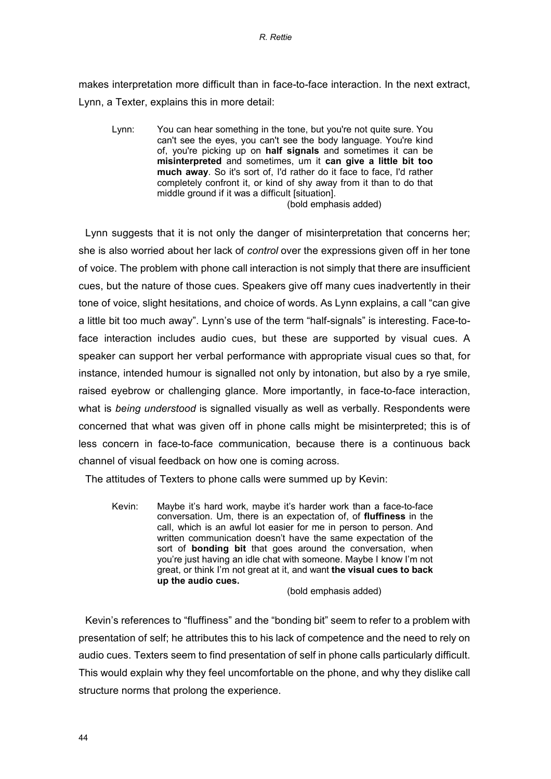makes interpretation more difficult than in face-to-face interaction. In the next extract, Lynn, a Texter, explains this in more detail:

Lynn: You can hear something in the tone, but you're not quite sure. You can't see the eyes, you can't see the body language. You're kind of, you're picking up on **half signals** and sometimes it can be **misinterpreted** and sometimes, um it **can give a little bit too much away**. So it's sort of, I'd rather do it face to face, I'd rather completely confront it, or kind of shy away from it than to do that middle ground if it was a difficult [situation].

(bold emphasis added)

Lynn suggests that it is not only the danger of misinterpretation that concerns her; she is also worried about her lack of *control* over the expressions given off in her tone of voice. The problem with phone call interaction is not simply that there are insufficient cues, but the nature of those cues. Speakers give off many cues inadvertently in their tone of voice, slight hesitations, and choice of words. As Lynn explains, a call "can give a little bit too much away". Lynn's use of the term "half-signals" is interesting. Face-toface interaction includes audio cues, but these are supported by visual cues. A speaker can support her verbal performance with appropriate visual cues so that, for instance, intended humour is signalled not only by intonation, but also by a rye smile, raised eyebrow or challenging glance. More importantly, in face-to-face interaction, what is *being understood* is signalled visually as well as verbally. Respondents were concerned that what was given off in phone calls might be misinterpreted; this is of less concern in face-to-face communication, because there is a continuous back channel of visual feedback on how one is coming across.

The attitudes of Texters to phone calls were summed up by Kevin:

Kevin: Maybe it's hard work, maybe it's harder work than a face-to-face conversation. Um, there is an expectation of, of **fluffiness** in the call, which is an awful lot easier for me in person to person. And written communication doesn't have the same expectation of the sort of **bonding bit** that goes around the conversation, when you're just having an idle chat with someone. Maybe I know I'm not great, or think I'm not great at it, and want **the visual cues to back up the audio cues.** 

(bold emphasis added)

Kevin's references to "fluffiness" and the "bonding bit" seem to refer to a problem with presentation of self; he attributes this to his lack of competence and the need to rely on audio cues. Texters seem to find presentation of self in phone calls particularly difficult. This would explain why they feel uncomfortable on the phone, and why they dislike call structure norms that prolong the experience.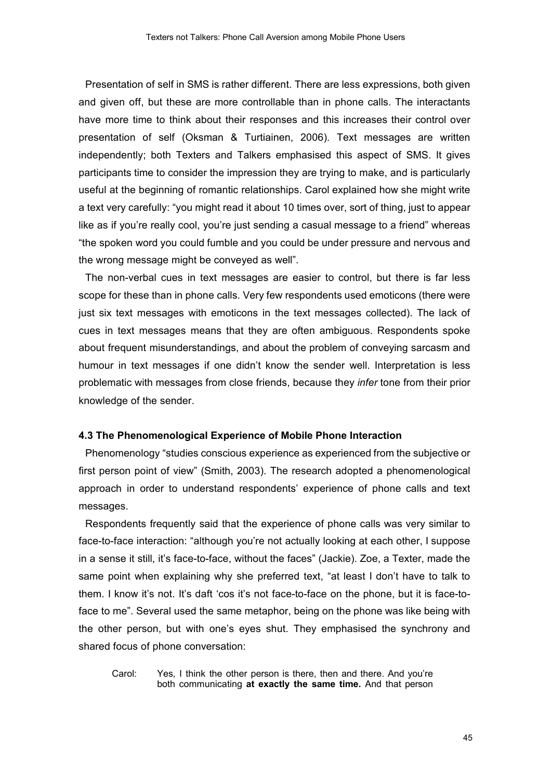Presentation of self in SMS is rather different. There are less expressions, both given and given off, but these are more controllable than in phone calls. The interactants have more time to think about their responses and this increases their control over presentation of self (Oksman & Turtiainen, 2006). Text messages are written independently; both Texters and Talkers emphasised this aspect of SMS. It gives participants time to consider the impression they are trying to make, and is particularly useful at the beginning of romantic relationships. Carol explained how she might write a text very carefully: "you might read it about 10 times over, sort of thing, just to appear like as if you're really cool, you're just sending a casual message to a friend" whereas "the spoken word you could fumble and you could be under pressure and nervous and the wrong message might be conveyed as well".

The non-verbal cues in text messages are easier to control, but there is far less scope for these than in phone calls. Very few respondents used emoticons (there were just six text messages with emoticons in the text messages collected). The lack of cues in text messages means that they are often ambiguous. Respondents spoke about frequent misunderstandings, and about the problem of conveying sarcasm and humour in text messages if one didn't know the sender well. Interpretation is less problematic with messages from close friends, because they *infer* tone from their prior knowledge of the sender.

#### **4.3 The Phenomenological Experience of Mobile Phone Interaction**

Phenomenology "studies conscious experience as experienced from the subjective or first person point of view" (Smith, 2003). The research adopted a phenomenological approach in order to understand respondents' experience of phone calls and text messages.

Respondents frequently said that the experience of phone calls was very similar to face-to-face interaction: "although you're not actually looking at each other, I suppose in a sense it still, it's face-to-face, without the faces" (Jackie). Zoe, a Texter, made the same point when explaining why she preferred text, "at least I don't have to talk to them. I know it's not. It's daft 'cos it's not face-to-face on the phone, but it is face-toface to me". Several used the same metaphor, being on the phone was like being with the other person, but with one's eyes shut. They emphasised the synchrony and shared focus of phone conversation:

Carol: Yes, I think the other person is there, then and there. And you're both communicating **at exactly the same time.** And that person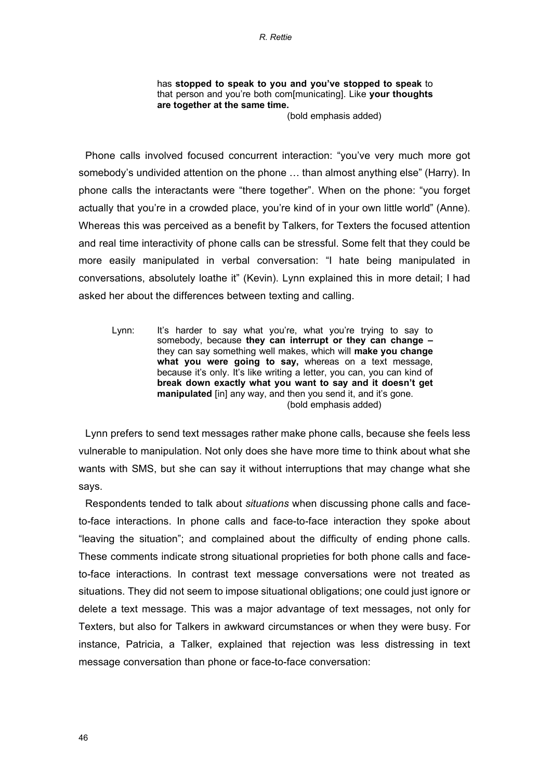has **stopped to speak to you and you've stopped to speak** to that person and you're both com[municating]. Like **your thoughts are together at the same time.**

(bold emphasis added)

Phone calls involved focused concurrent interaction: "you've very much more got somebody's undivided attention on the phone … than almost anything else" (Harry). In phone calls the interactants were "there together". When on the phone: "you forget actually that you're in a crowded place, you're kind of in your own little world" (Anne). Whereas this was perceived as a benefit by Talkers, for Texters the focused attention and real time interactivity of phone calls can be stressful. Some felt that they could be more easily manipulated in verbal conversation: "I hate being manipulated in conversations, absolutely loathe it" (Kevin). Lynn explained this in more detail; I had asked her about the differences between texting and calling.

Lynn: It's harder to say what you're, what you're trying to say to somebody, because **they can interrupt or they can change –** they can say something well makes, which will **make you change what you were going to say,** whereas on a text message, because it's only. It's like writing a letter, you can, you can kind of **break down exactly what you want to say and it doesn't get manipulated** [in] any way, and then you send it, and it's gone. (bold emphasis added)

Lynn prefers to send text messages rather make phone calls, because she feels less vulnerable to manipulation. Not only does she have more time to think about what she wants with SMS, but she can say it without interruptions that may change what she says.

Respondents tended to talk about *situations* when discussing phone calls and faceto-face interactions. In phone calls and face-to-face interaction they spoke about "leaving the situation"; and complained about the difficulty of ending phone calls. These comments indicate strong situational proprieties for both phone calls and faceto-face interactions. In contrast text message conversations were not treated as situations. They did not seem to impose situational obligations; one could just ignore or delete a text message. This was a major advantage of text messages, not only for Texters, but also for Talkers in awkward circumstances or when they were busy. For instance, Patricia, a Talker, explained that rejection was less distressing in text message conversation than phone or face-to-face conversation: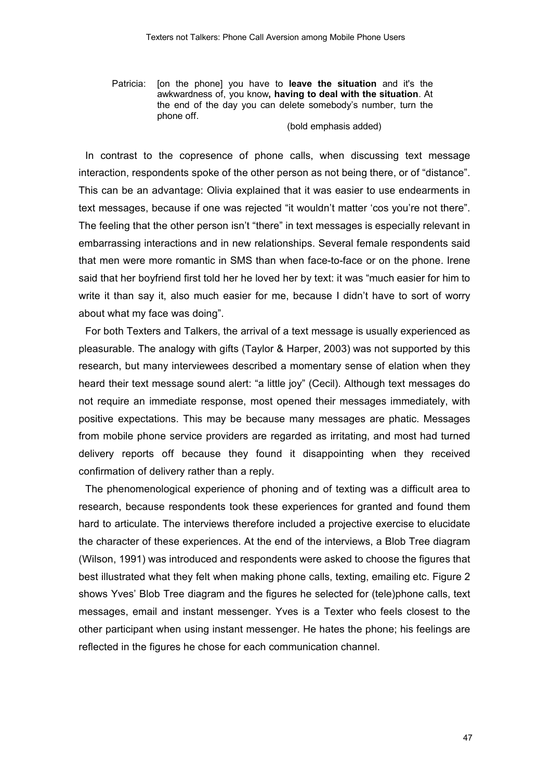Patricia: [on the phone] you have to **leave the situation** and it's the awkwardness of, you know**, having to deal with the situation**. At the end of the day you can delete somebody's number, turn the phone off.

(bold emphasis added)

In contrast to the copresence of phone calls, when discussing text message interaction, respondents spoke of the other person as not being there, or of "distance". This can be an advantage: Olivia explained that it was easier to use endearments in text messages, because if one was rejected "it wouldn't matter 'cos you're not there". The feeling that the other person isn't "there" in text messages is especially relevant in embarrassing interactions and in new relationships. Several female respondents said that men were more romantic in SMS than when face-to-face or on the phone. Irene said that her boyfriend first told her he loved her by text: it was "much easier for him to write it than say it, also much easier for me, because I didn't have to sort of worry about what my face was doing".

For both Texters and Talkers, the arrival of a text message is usually experienced as pleasurable. The analogy with gifts (Taylor & Harper, 2003) was not supported by this research, but many interviewees described a momentary sense of elation when they heard their text message sound alert: "a little joy" (Cecil). Although text messages do not require an immediate response, most opened their messages immediately, with positive expectations. This may be because many messages are phatic. Messages from mobile phone service providers are regarded as irritating, and most had turned delivery reports off because they found it disappointing when they received confirmation of delivery rather than a reply.

The phenomenological experience of phoning and of texting was a difficult area to research, because respondents took these experiences for granted and found them hard to articulate. The interviews therefore included a projective exercise to elucidate the character of these experiences. At the end of the interviews, a Blob Tree diagram (Wilson, 1991) was introduced and respondents were asked to choose the figures that best illustrated what they felt when making phone calls, texting, emailing etc. Figure 2 shows Yves' Blob Tree diagram and the figures he selected for (tele)phone calls, text messages, email and instant messenger. Yves is a Texter who feels closest to the other participant when using instant messenger. He hates the phone; his feelings are reflected in the figures he chose for each communication channel.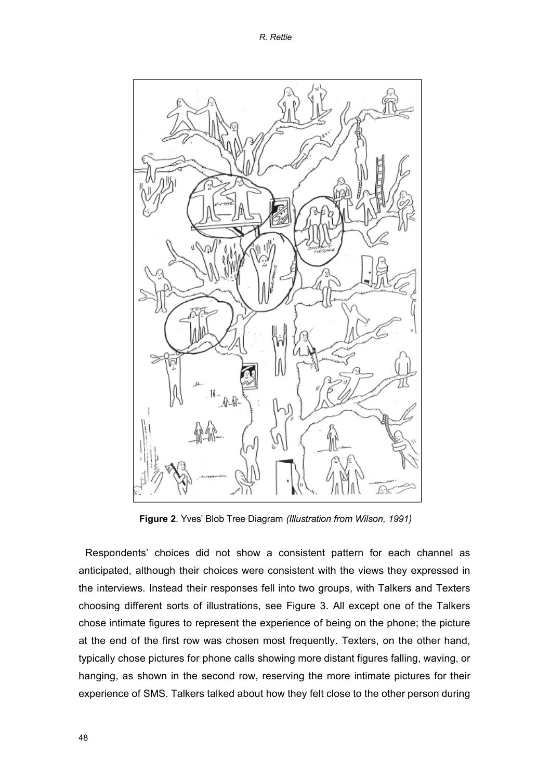

**Figure 2**. Yves' Blob Tree Diagram *(Illustration from Wilson, 1991)*

Respondents' choices did not show a consistent pattern for each channel as anticipated, although their choices were consistent with the views they expressed in the interviews. Instead their responses fell into two groups, with Talkers and Texters choosing different sorts of illustrations, see Figure 3. All except one of the Talkers chose intimate figures to represent the experience of being on the phone; the picture at the end of the first row was chosen most frequently. Texters, on the other hand, typically chose pictures for phone calls showing more distant figures falling, waving, or hanging, as shown in the second row, reserving the more intimate pictures for their experience of SMS. Talkers talked about how they felt close to the other person during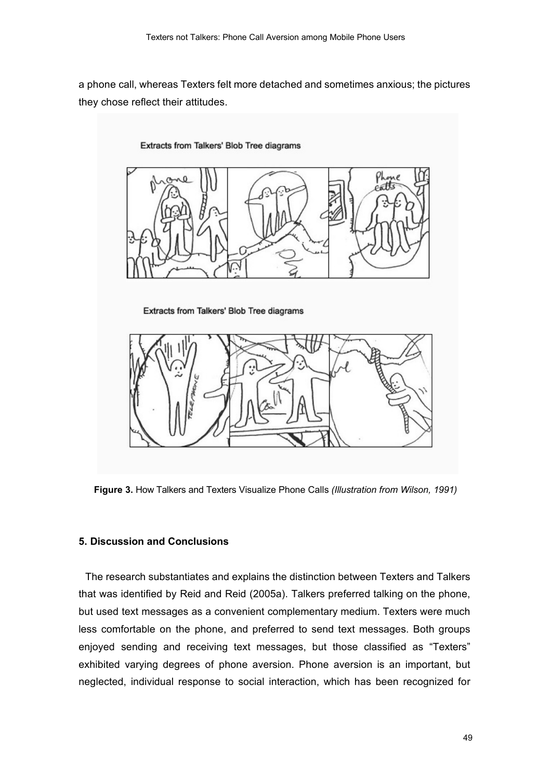a phone call, whereas Texters felt more detached and sometimes anxious; the pictures they chose reflect their attitudes.

#### Extracts from Talkers' Blob Tree diagrams



Extracts from Talkers' Blob Tree diagrams



**Figure 3.** How Talkers and Texters Visualize Phone Calls *(Illustration from Wilson, 1991)*

## **5. Discussion and Conclusions**

The research substantiates and explains the distinction between Texters and Talkers that was identified by Reid and Reid (2005a). Talkers preferred talking on the phone, but used text messages as a convenient complementary medium. Texters were much less comfortable on the phone, and preferred to send text messages. Both groups enjoyed sending and receiving text messages, but those classified as "Texters" exhibited varying degrees of phone aversion. Phone aversion is an important, but neglected, individual response to social interaction, which has been recognized for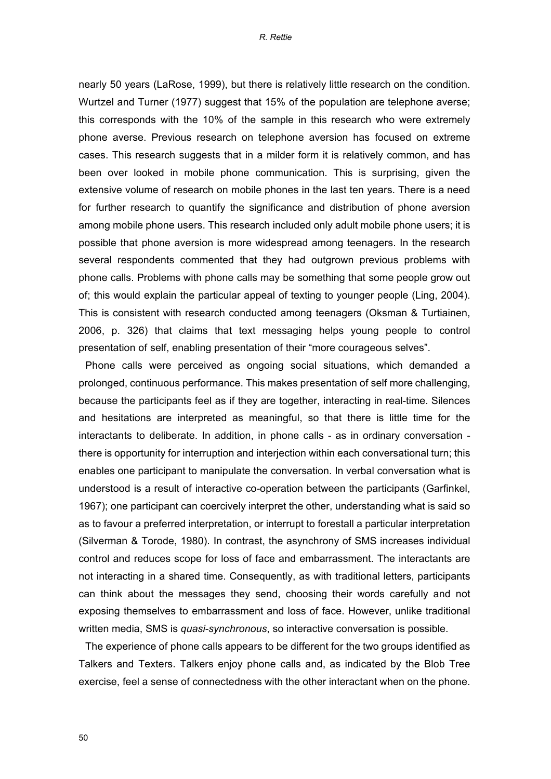nearly 50 years (LaRose, 1999), but there is relatively little research on the condition. Wurtzel and Turner (1977) suggest that 15% of the population are telephone averse; this corresponds with the 10% of the sample in this research who were extremely phone averse. Previous research on telephone aversion has focused on extreme cases. This research suggests that in a milder form it is relatively common, and has been over looked in mobile phone communication. This is surprising, given the extensive volume of research on mobile phones in the last ten years. There is a need for further research to quantify the significance and distribution of phone aversion among mobile phone users. This research included only adult mobile phone users; it is possible that phone aversion is more widespread among teenagers. In the research several respondents commented that they had outgrown previous problems with phone calls. Problems with phone calls may be something that some people grow out of; this would explain the particular appeal of texting to younger people (Ling, 2004). This is consistent with research conducted among teenagers (Oksman & Turtiainen, 2006, p. 326) that claims that text messaging helps young people to control presentation of self, enabling presentation of their "more courageous selves".

Phone calls were perceived as ongoing social situations, which demanded a prolonged, continuous performance. This makes presentation of self more challenging, because the participants feel as if they are together, interacting in real-time. Silences and hesitations are interpreted as meaningful, so that there is little time for the interactants to deliberate. In addition, in phone calls - as in ordinary conversation there is opportunity for interruption and interjection within each conversational turn; this enables one participant to manipulate the conversation. In verbal conversation what is understood is a result of interactive co-operation between the participants (Garfinkel, 1967); one participant can coercively interpret the other, understanding what is said so as to favour a preferred interpretation, or interrupt to forestall a particular interpretation (Silverman & Torode, 1980). In contrast, the asynchrony of SMS increases individual control and reduces scope for loss of face and embarrassment. The interactants are not interacting in a shared time. Consequently, as with traditional letters, participants can think about the messages they send, choosing their words carefully and not exposing themselves to embarrassment and loss of face. However, unlike traditional written media, SMS is *quasi-synchronous*, so interactive conversation is possible.

The experience of phone calls appears to be different for the two groups identified as Talkers and Texters. Talkers enjoy phone calls and, as indicated by the Blob Tree exercise, feel a sense of connectedness with the other interactant when on the phone.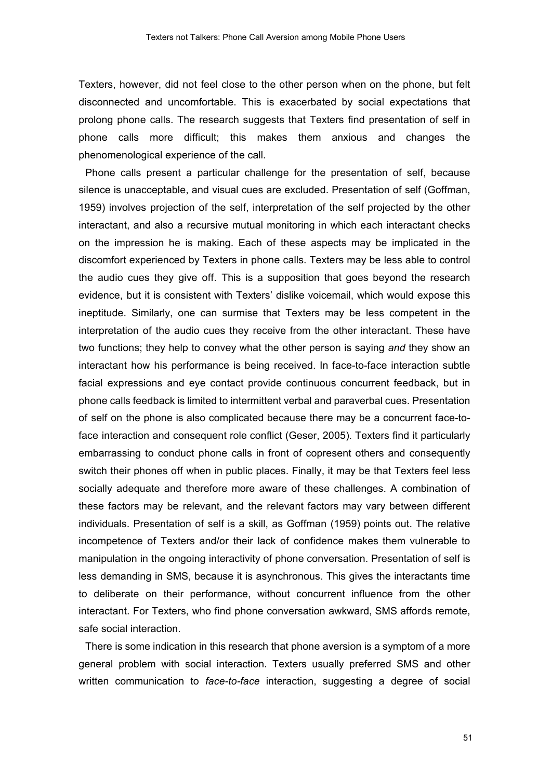Texters, however, did not feel close to the other person when on the phone, but felt disconnected and uncomfortable. This is exacerbated by social expectations that prolong phone calls. The research suggests that Texters find presentation of self in phone calls more difficult; this makes them anxious and changes the phenomenological experience of the call.

Phone calls present a particular challenge for the presentation of self, because silence is unacceptable, and visual cues are excluded. Presentation of self (Goffman, 1959) involves projection of the self, interpretation of the self projected by the other interactant, and also a recursive mutual monitoring in which each interactant checks on the impression he is making. Each of these aspects may be implicated in the discomfort experienced by Texters in phone calls. Texters may be less able to control the audio cues they give off. This is a supposition that goes beyond the research evidence, but it is consistent with Texters' dislike voicemail, which would expose this ineptitude. Similarly, one can surmise that Texters may be less competent in the interpretation of the audio cues they receive from the other interactant. These have two functions; they help to convey what the other person is saying *and* they show an interactant how his performance is being received. In face-to-face interaction subtle facial expressions and eye contact provide continuous concurrent feedback, but in phone calls feedback is limited to intermittent verbal and paraverbal cues. Presentation of self on the phone is also complicated because there may be a concurrent face-toface interaction and consequent role conflict (Geser, 2005). Texters find it particularly embarrassing to conduct phone calls in front of copresent others and consequently switch their phones off when in public places. Finally, it may be that Texters feel less socially adequate and therefore more aware of these challenges. A combination of these factors may be relevant, and the relevant factors may vary between different individuals. Presentation of self is a skill, as Goffman (1959) points out. The relative incompetence of Texters and/or their lack of confidence makes them vulnerable to manipulation in the ongoing interactivity of phone conversation. Presentation of self is less demanding in SMS, because it is asynchronous. This gives the interactants time to deliberate on their performance, without concurrent influence from the other interactant. For Texters, who find phone conversation awkward, SMS affords remote, safe social interaction.

There is some indication in this research that phone aversion is a symptom of a more general problem with social interaction. Texters usually preferred SMS and other written communication to *face-to-face* interaction, suggesting a degree of social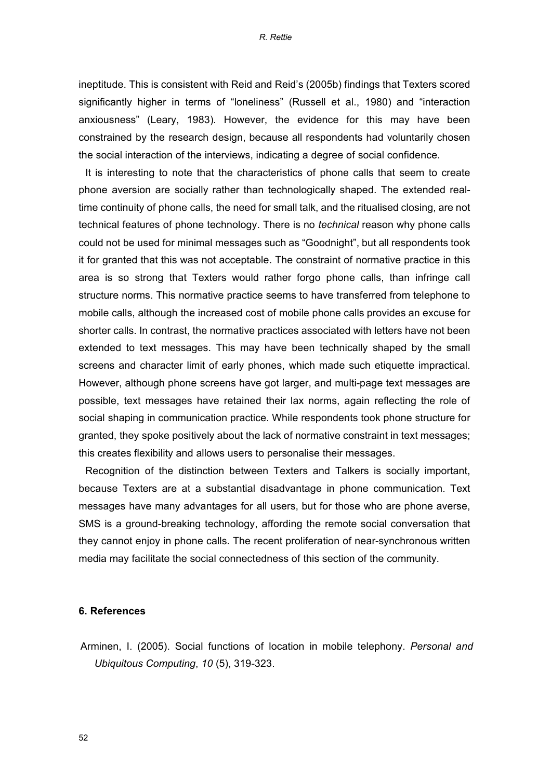ineptitude. This is consistent with Reid and Reid's (2005b) findings that Texters scored significantly higher in terms of "loneliness" (Russell et al., 1980) and "interaction anxiousness" (Leary, 1983). However, the evidence for this may have been constrained by the research design, because all respondents had voluntarily chosen the social interaction of the interviews, indicating a degree of social confidence.

It is interesting to note that the characteristics of phone calls that seem to create phone aversion are socially rather than technologically shaped. The extended realtime continuity of phone calls, the need for small talk, and the ritualised closing, are not technical features of phone technology. There is no *technical* reason why phone calls could not be used for minimal messages such as "Goodnight", but all respondents took it for granted that this was not acceptable. The constraint of normative practice in this area is so strong that Texters would rather forgo phone calls, than infringe call structure norms. This normative practice seems to have transferred from telephone to mobile calls, although the increased cost of mobile phone calls provides an excuse for shorter calls. In contrast, the normative practices associated with letters have not been extended to text messages. This may have been technically shaped by the small screens and character limit of early phones, which made such etiquette impractical. However, although phone screens have got larger, and multi-page text messages are possible, text messages have retained their lax norms, again reflecting the role of social shaping in communication practice. While respondents took phone structure for granted, they spoke positively about the lack of normative constraint in text messages; this creates flexibility and allows users to personalise their messages.

Recognition of the distinction between Texters and Talkers is socially important, because Texters are at a substantial disadvantage in phone communication. Text messages have many advantages for all users, but for those who are phone averse, SMS is a ground-breaking technology, affording the remote social conversation that they cannot enjoy in phone calls. The recent proliferation of near-synchronous written media may facilitate the social connectedness of this section of the community.

#### **6. References**

Arminen, I. (2005). Social functions of location in mobile telephony. *Personal and Ubiquitous Computing*, *10* (5), 319-323.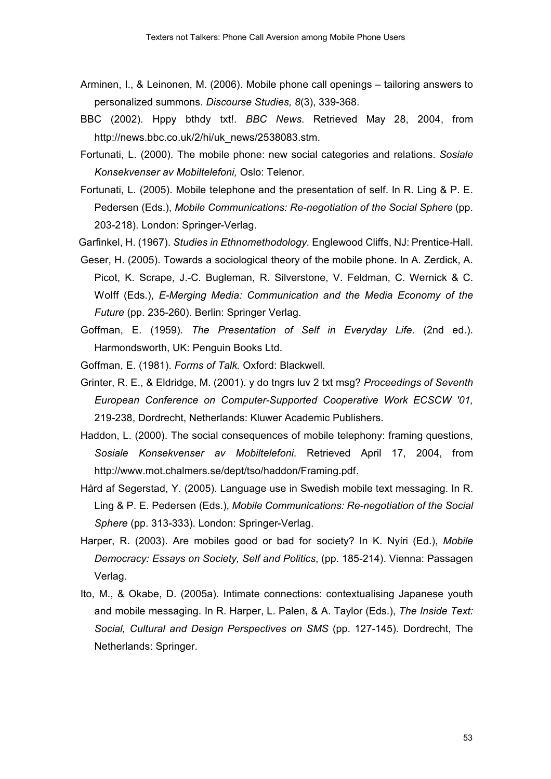- Arminen, I., & Leinonen, M. (2006). Mobile phone call openings tailoring answers to personalized summons. *Discourse Studies, 8*(3), 339-368.
- BBC (2002). Hppy bthdy txt!. *BBC News*. Retrieved May 28, 2004, from http://news.bbc.co.uk/2/hi/uk\_news/2538083.stm.
- Fortunati, L. (2000). The mobile phone: new social categories and relations. *Sosiale Konsekvenser av Mobiltelefoni,* Oslo: Telenor.
- Fortunati, L. (2005). Mobile telephone and the presentation of self. In R. Ling & P. E. Pedersen (Eds.), *Mobile Communications: Re-negotiation of the Social Sphere* (pp. 203-218). London: Springer-Verlag.

Garfinkel, H. (1967). *Studies in Ethnomethodology.* Englewood Cliffs, NJ: Prentice-Hall.

- Geser, H. (2005). Towards a sociological theory of the mobile phone. In A. Zerdick, A. Picot, K. Scrape, J.-C. Bugleman, R. Silverstone, V. Feldman, C. Wernick & C. Wolff (Eds.), *E-Merging Media: Communication and the Media Economy of the Future* (pp. 235-260). Berlin: Springer Verlag.
- Goffman, E. (1959). *The Presentation of Self in Everyday Life.* (2nd ed.). Harmondsworth, UK: Penguin Books Ltd.
- Goffman, E. (1981). *Forms of Talk.* Oxford: Blackwell.
- Grinter, R. E., & Eldridge, M. (2001). y do tngrs luv 2 txt msg? *Proceedings of Seventh European Conference on Computer-Supported Cooperative Work ECSCW '01,* 219-238, Dordrecht, Netherlands: Kluwer Academic Publishers.
- Haddon, L. (2000). The social consequences of mobile telephony: framing questions, *Sosiale Konsekvenser av Mobiltelefoni*. Retrieved April 17, 2004, from http://www.mot.chalmers.se/dept/tso/haddon/Framing.pdf.
- Hård af Segerstad, Y. (2005). Language use in Swedish mobile text messaging. In R. Ling & P. E. Pedersen (Eds.), *Mobile Communications: Re-negotiation of the Social Sphere* (pp. 313-333). London: Springer-Verlag.
- Harper, R. (2003). Are mobiles good or bad for society? In K. Nyíri (Ed.), Mobile *Democracy: Essays on Society, Self and Politics*, (pp. 185-214). Vienna: Passagen Verlag.
- Ito, M., & Okabe, D. (2005a). Intimate connections: contextualising Japanese youth and mobile messaging. In R. Harper, L. Palen, & A. Taylor (Eds.), *The Inside Text: Social, Cultural and Design Perspectives on SMS* (pp. 127-145). Dordrecht, The Netherlands: Springer.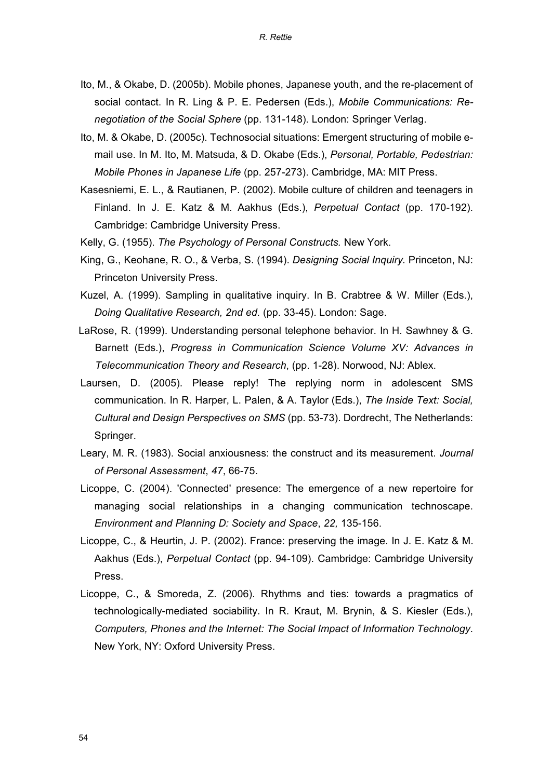- Ito, M., & Okabe, D. (2005b). Mobile phones, Japanese youth, and the re-placement of social contact. In R. Ling & P. E. Pedersen (Eds.), *Mobile Communications: Renegotiation of the Social Sphere* (pp. 131-148). London: Springer Verlag.
- Ito, M. & Okabe, D. (2005c). Technosocial situations: Emergent structuring of mobile email use. In M. Ito, M. Matsuda, & D. Okabe (Eds.), *Personal, Portable, Pedestrian: Mobile Phones in Japanese Life* (pp. 257-273). Cambridge, MA: MIT Press.
- Kasesniemi, E. L., & Rautianen, P. (2002). Mobile culture of children and teenagers in Finland. In J. E. Katz & M. Aakhus (Eds.), *Perpetual Contact* (pp. 170-192). Cambridge: Cambridge University Press.
- Kelly, G. (1955). *The Psychology of Personal Constructs.* New York.
- King, G., Keohane, R. O., & Verba, S. (1994). *Designing Social Inquiry.* Princeton, NJ: Princeton University Press.
- Kuzel, A. (1999). Sampling in qualitative inquiry. In B. Crabtree & W. Miller (Eds.), *Doing Qualitative Research, 2nd ed.* (pp. 33-45). London: Sage.
- LaRose, R. (1999). Understanding personal telephone behavior. In H. Sawhney & G. Barnett (Eds.), *Progress in Communication Science Volume XV: Advances in Telecommunication Theory and Research*, (pp. 1-28). Norwood, NJ: Ablex.
- Laursen, D. (2005). Please reply! The replying norm in adolescent SMS communication. In R. Harper, L. Palen, & A. Taylor (Eds.), *The Inside Text: Social, Cultural and Design Perspectives on SMS* (pp. 53-73). Dordrecht, The Netherlands: Springer.
- Leary, M. R. (1983). Social anxiousness: the construct and its measurement. *Journal of Personal Assessment*, *47*, 66-75.
- Licoppe, C. (2004). 'Connected' presence: The emergence of a new repertoire for managing social relationships in a changing communication technoscape. *Environment and Planning D: Society and Space*, *22,* 135-156.
- Licoppe, C., & Heurtin, J. P. (2002). France: preserving the image. In J. E. Katz & M. Aakhus (Eds.), *Perpetual Contact* (pp. 94-109). Cambridge: Cambridge University Press.
- Licoppe, C., & Smoreda, Z. (2006). Rhythms and ties: towards a pragmatics of technologically-mediated sociability. In R. Kraut, M. Brynin, & S. Kiesler (Eds.), *Computers, Phones and the Internet: The Social Impact of Information Technology*. New York, NY: Oxford University Press.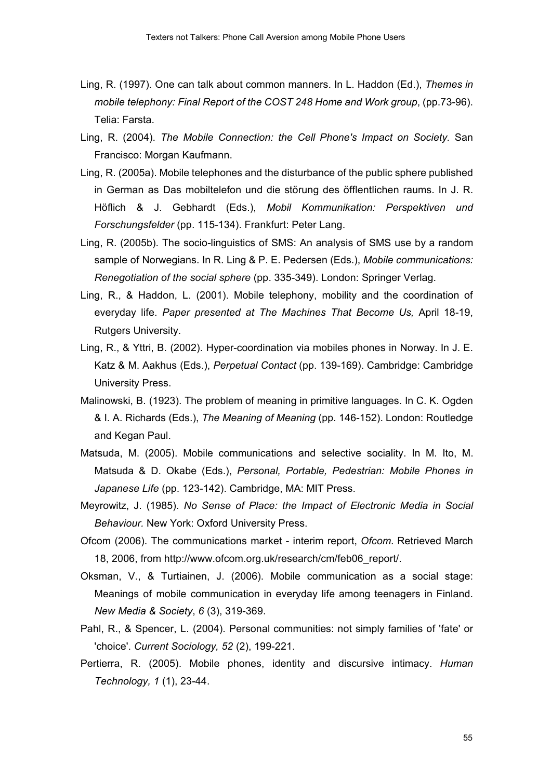- Ling, R. (1997). One can talk about common manners. In L. Haddon (Ed.), *Themes in mobile telephony: Final Report of the COST 248 Home and Work group*, (pp.73-96). Telia: Farsta.
- Ling, R. (2004). *The Mobile Connection: the Cell Phone's Impact on Society.* San Francisco: Morgan Kaufmann.
- Ling, R. (2005a). Mobile telephones and the disturbance of the public sphere published in German as Das mobiltelefon und die stårung des åfflentlichen raums. In J. R. Håflich & J. Gebhardt (Eds.), *Mobil Kommunikation: Perspektiven und Forschungsfelder* (pp. 115-134). Frankfurt: Peter Lang.
- Ling, R. (2005b). The socio-linguistics of SMS: An analysis of SMS use by a random sample of Norwegians. In R. Ling & P. E. Pedersen (Eds.), *Mobile communications: Renegotiation of the social sphere* (pp. 335-349). London: Springer Verlag.
- Ling, R., & Haddon, L. (2001). Mobile telephony, mobility and the coordination of everyday life. *Paper presented at The Machines That Become Us,* April 18-19, Rutgers University.
- Ling, R., & Yttri, B. (2002). Hyper-coordination via mobiles phones in Norway. In J. E. Katz & M. Aakhus (Eds.), *Perpetual Contact* (pp. 139-169). Cambridge: Cambridge University Press.
- Malinowski, B. (1923). The problem of meaning in primitive languages. In C. K. Ogden & I. A. Richards (Eds.), *The Meaning of Meaning* (pp. 146-152). London: Routledge and Kegan Paul.
- Matsuda, M. (2005). Mobile communications and selective sociality. In M. Ito, M. Matsuda & D. Okabe (Eds.), *Personal, Portable, Pedestrian: Mobile Phones in Japanese Life* (pp. 123-142). Cambridge, MA: MIT Press.
- Meyrowitz, J. (1985). *No Sense of Place: the Impact of Electronic Media in Social Behaviour.* New York: Oxford University Press.
- Ofcom (2006). The communications market interim report, *Ofcom*. Retrieved March 18, 2006, from http://www.ofcom.org.uk/research/cm/feb06\_report/.
- Oksman, V., & Turtiainen, J. (2006). Mobile communication as a social stage: Meanings of mobile communication in everyday life among teenagers in Finland. *New Media & Society*, *6* (3), 319-369.
- Pahl, R., & Spencer, L. (2004). Personal communities: not simply families of 'fate' or 'choice'. *Current Sociology, 52* (2), 199-221.
- Pertierra, R. (2005). Mobile phones, identity and discursive intimacy. *Human Technology, 1* (1), 23-44.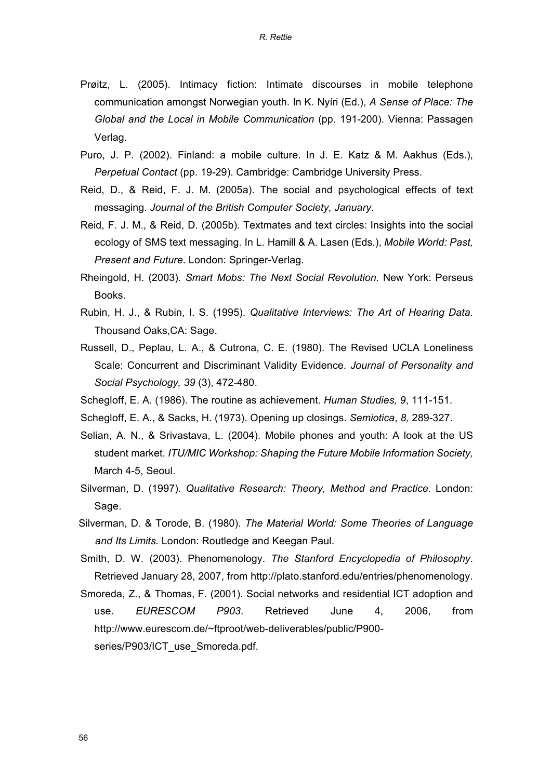- Prøitz, L. (2005). Intimacy fiction: Intimate discourses in mobile telephone communication amongst Norwegian youth. In K. Nyíri (Ed.), *A Sense of Place: The Global and the Local in Mobile Communication* (pp. 191-200). Vienna: Passagen Verlag.
- Puro, J. P. (2002). Finland: a mobile culture. In J. E. Katz & M. Aakhus (Eds.), *Perpetual Contact* (pp. 19-29). Cambridge: Cambridge University Press.
- Reid, D., & Reid, F. J. M. (2005a). The social and psychological effects of text messaging. *Journal of the British Computer Society, January*.
- Reid, F. J. M., & Reid, D. (2005b). Textmates and text circles: Insights into the social ecology of SMS text messaging. In L. Hamill & A. Lasen (Eds.), *Mobile World: Past, Present and Future*. London: Springer-Verlag.
- Rheingold, H. (2003). *Smart Mobs: The Next Social Revolution.* New York: Perseus Books.
- Rubin, H. J., & Rubin, I. S. (1995). *Qualitative Interviews: The Art of Hearing Data.* Thousand Oaks,CA: Sage.
- Russell, D., Peplau, L. A., & Cutrona, C. E. (1980). The Revised UCLA Loneliness Scale: Concurrent and Discriminant Validity Evidence. *Journal of Personality and Social Psychology, 39* (3), 472-480.
- Schegloff, E. A. (1986). The routine as achievement. *Human Studies, 9*, 111-151.
- Schegloff, E. A., & Sacks, H. (1973). Opening up closings. *Semiotica*, *8,* 289-327.
- Selian, A. N., & Srivastava, L. (2004). Mobile phones and youth: A look at the US student market. *ITU/MIC Workshop: Shaping the Future Mobile Information Society,* March 4-5, Seoul.
- Silverman, D. (1997). *Qualitative Research: Theory, Method and Practice.* London: Sage.
- Silverman, D. & Torode, B. (1980). *The Material World: Some Theories of Language and Its Limits.* London: Routledge and Keegan Paul.
- Smith, D. W. (2003). Phenomenology. *The Stanford Encyclopedia of Philosophy*. Retrieved January 28, 2007, from http://plato.stanford.edu/entries/phenomenology.
- Smoreda, Z., & Thomas, F. (2001). Social networks and residential ICT adoption and use. *EURESCOM P903*. Retrieved June 4, 2006, from http://www.eurescom.de/~ftproot/web-deliverables/public/P900 series/P903/ICT\_use\_Smoreda.pdf.